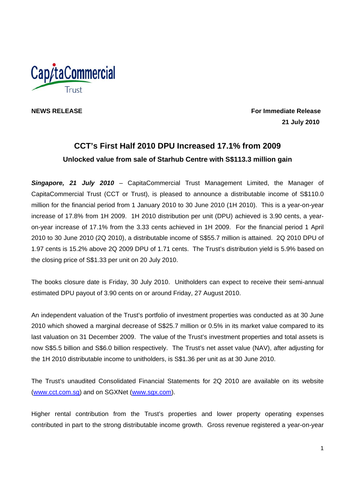

**NEWS RELEASE For Immediate Release 21 July 2010** 

# **CCT's First Half 2010 DPU Increased 17.1% from 2009 Unlocked value from sale of Starhub Centre with S\$113.3 million gain**

*Singapore, 21 July 2010* – CapitaCommercial Trust Management Limited, the Manager of CapitaCommercial Trust (CCT or Trust), is pleased to announce a distributable income of S\$110.0 million for the financial period from 1 January 2010 to 30 June 2010 (1H 2010). This is a year-on-year increase of 17.8% from 1H 2009. 1H 2010 distribution per unit (DPU) achieved is 3.90 cents, a yearon-year increase of 17.1% from the 3.33 cents achieved in 1H 2009. For the financial period 1 April 2010 to 30 June 2010 (2Q 2010), a distributable income of S\$55.7 million is attained. 2Q 2010 DPU of 1.97 cents is 15.2% above 2Q 2009 DPU of 1.71 cents. The Trust's distribution yield is 5.9% based on the closing price of S\$1.33 per unit on 20 July 2010.

The books closure date is Friday, 30 July 2010. Unitholders can expect to receive their semi-annual estimated DPU payout of 3.90 cents on or around Friday, 27 August 2010.

An independent valuation of the Trust's portfolio of investment properties was conducted as at 30 June 2010 which showed a marginal decrease of S\$25.7 million or 0.5% in its market value compared to its last valuation on 31 December 2009. The value of the Trust's investment properties and total assets is now S\$5.5 billion and S\$6.0 billion respectively. The Trust's net asset value (NAV), after adjusting for the 1H 2010 distributable income to unitholders, is S\$1.36 per unit as at 30 June 2010.

The Trust's unaudited Consolidated Financial Statements for 2Q 2010 are available on its website (www.cct.com.sg) and on SGXNet (www.sgx.com).

Higher rental contribution from the Trust's properties and lower property operating expenses contributed in part to the strong distributable income growth. Gross revenue registered a year-on-year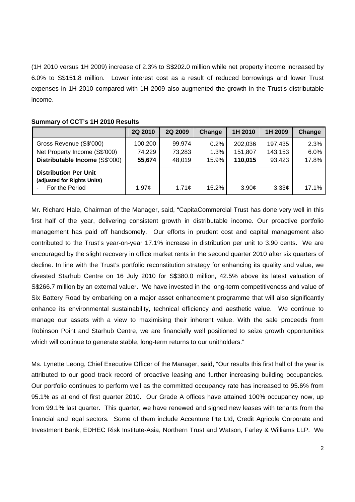(1H 2010 versus 1H 2009) increase of 2.3% to S\$202.0 million while net property income increased by 6.0% to S\$151.8 million. Lower interest cost as a result of reduced borrowings and lower Trust expenses in 1H 2010 compared with 1H 2009 also augmented the growth in the Trust's distributable income.

|                                                                                            | 2Q 2010                     | 2Q 2009                    | Change                | 1H 2010                       | 1H 2009                      | Change                |
|--------------------------------------------------------------------------------------------|-----------------------------|----------------------------|-----------------------|-------------------------------|------------------------------|-----------------------|
| Gross Revenue (S\$'000)<br>Net Property Income (S\$'000)<br>Distributable Income (S\$'000) | 100,200<br>74,229<br>55,674 | 99,974<br>73,283<br>48,019 | 0.2%<br>1.3%<br>15.9% | 202,036<br>151,807<br>110,015 | 197,435<br>143,153<br>93,423 | 2.3%<br>6.0%<br>17.8% |
| <b>Distribution Per Unit</b><br>(adjusted for Rights Units)<br>For the Period              | 1.97c                       | 1.71c                      | 15.2%                 | 3.90¢                         | $3.33\mathcal{C}$            | 17.1%                 |

# **Summary of CCT's 1H 2010 Results**

Mr. Richard Hale, Chairman of the Manager, said, "CapitaCommercial Trust has done very well in this first half of the year, delivering consistent growth in distributable income. Our proactive portfolio management has paid off handsomely. Our efforts in prudent cost and capital management also contributed to the Trust's year-on-year 17.1% increase in distribution per unit to 3.90 cents. We are encouraged by the slight recovery in office market rents in the second quarter 2010 after six quarters of decline. In line with the Trust's portfolio reconstitution strategy for enhancing its quality and value, we divested Starhub Centre on 16 July 2010 for S\$380.0 million, 42.5% above its latest valuation of S\$266.7 million by an external valuer. We have invested in the long-term competitiveness and value of Six Battery Road by embarking on a major asset enhancement programme that will also significantly enhance its environmental sustainability, technical efficiency and aesthetic value. We continue to manage our assets with a view to maximising their inherent value. With the sale proceeds from Robinson Point and Starhub Centre, we are financially well positioned to seize growth opportunities which will continue to generate stable, long-term returns to our unitholders."

Ms. Lynette Leong, Chief Executive Officer of the Manager, said, "Our results this first half of the year is attributed to our good track record of proactive leasing and further increasing building occupancies. Our portfolio continues to perform well as the committed occupancy rate has increased to 95.6% from 95.1% as at end of first quarter 2010. Our Grade A offices have attained 100% occupancy now, up from 99.1% last quarter. This quarter, we have renewed and signed new leases with tenants from the financial and legal sectors. Some of them include Accenture Pte Ltd, Credit Agricole Corporate and Investment Bank, EDHEC Risk Institute-Asia, Northern Trust and Watson, Farley & Williams LLP. We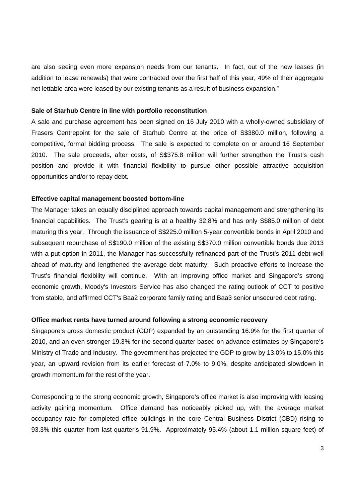are also seeing even more expansion needs from our tenants. In fact, out of the new leases (in addition to lease renewals) that were contracted over the first half of this year, 49% of their aggregate net lettable area were leased by our existing tenants as a result of business expansion."

## **Sale of Starhub Centre in line with portfolio reconstitution**

A sale and purchase agreement has been signed on 16 July 2010 with a wholly-owned subsidiary of Frasers Centrepoint for the sale of Starhub Centre at the price of S\$380.0 million, following a competitive, formal bidding process. The sale is expected to complete on or around 16 September 2010. The sale proceeds, after costs, of S\$375.8 million will further strengthen the Trust's cash position and provide it with financial flexibility to pursue other possible attractive acquisition opportunities and/or to repay debt.

## **Effective capital management boosted bottom-line**

The Manager takes an equally disciplined approach towards capital management and strengthening its financial capabilities. The Trust's gearing is at a healthy 32.8% and has only S\$85.0 million of debt maturing this year. Through the issuance of S\$225.0 million 5-year convertible bonds in April 2010 and subsequent repurchase of S\$190.0 million of the existing S\$370.0 million convertible bonds due 2013 with a put option in 2011, the Manager has successfully refinanced part of the Trust's 2011 debt well ahead of maturity and lengthened the average debt maturity. Such proactive efforts to increase the Trust's financial flexibility will continue. With an improving office market and Singapore's strong economic growth, Moody's Investors Service has also changed the rating outlook of CCT to positive from stable, and affirmed CCT's Baa2 corporate family rating and Baa3 senior unsecured debt rating.

#### **Office market rents have turned around following a strong economic recovery**

Singapore's gross domestic product (GDP) expanded by an outstanding 16.9% for the first quarter of 2010, and an even stronger 19.3% for the second quarter based on advance estimates by Singapore's Ministry of Trade and Industry. The government has projected the GDP to grow by 13.0% to 15.0% this year, an upward revision from its earlier forecast of 7.0% to 9.0%, despite anticipated slowdown in growth momentum for the rest of the year.

Corresponding to the strong economic growth, Singapore's office market is also improving with leasing activity gaining momentum. Office demand has noticeably picked up, with the average market occupancy rate for completed office buildings in the core Central Business District (CBD) rising to 93.3% this quarter from last quarter's 91.9%. Approximately 95.4% (about 1.1 million square feet) of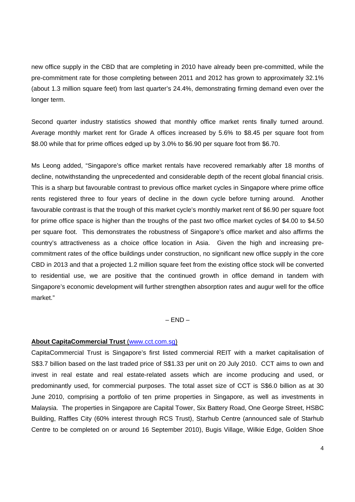new office supply in the CBD that are completing in 2010 have already been pre-committed, while the pre-commitment rate for those completing between 2011 and 2012 has grown to approximately 32.1% (about 1.3 million square feet) from last quarter's 24.4%, demonstrating firming demand even over the longer term.

Second quarter industry statistics showed that monthly office market rents finally turned around. Average monthly market rent for Grade A offices increased by 5.6% to \$8.45 per square foot from \$8.00 while that for prime offices edged up by 3.0% to \$6.90 per square foot from \$6.70.

Ms Leong added, "Singapore's office market rentals have recovered remarkably after 18 months of decline, notwithstanding the unprecedented and considerable depth of the recent global financial crisis. This is a sharp but favourable contrast to previous office market cycles in Singapore where prime office rents registered three to four years of decline in the down cycle before turning around. Another favourable contrast is that the trough of this market cycle's monthly market rent of \$6.90 per square foot for prime office space is higher than the troughs of the past two office market cycles of \$4.00 to \$4.50 per square foot. This demonstrates the robustness of Singapore's office market and also affirms the country's attractiveness as a choice office location in Asia. Given the high and increasing precommitment rates of the office buildings under construction, no significant new office supply in the core CBD in 2013 and that a projected 1.2 million square feet from the existing office stock will be converted to residential use, we are positive that the continued growth in office demand in tandem with Singapore's economic development will further strengthen absorption rates and augur well for the office market."

 $-$  END $-$ 

## **About CapitaCommercial Trust** (www.cct.com.sg)

CapitaCommercial Trust is Singapore's first listed commercial REIT with a market capitalisation of S\$3.7 billion based on the last traded price of S\$1.33 per unit on 20 July 2010. CCT aims to own and invest in real estate and real estate-related assets which are income producing and used, or predominantly used, for commercial purposes. The total asset size of CCT is S\$6.0 billion as at 30 June 2010, comprising a portfolio of ten prime properties in Singapore, as well as investments in Malaysia. The properties in Singapore are Capital Tower, Six Battery Road, One George Street, HSBC Building, Raffles City (60% interest through RCS Trust), Starhub Centre (announced sale of Starhub Centre to be completed on or around 16 September 2010), Bugis Village, Wilkie Edge, Golden Shoe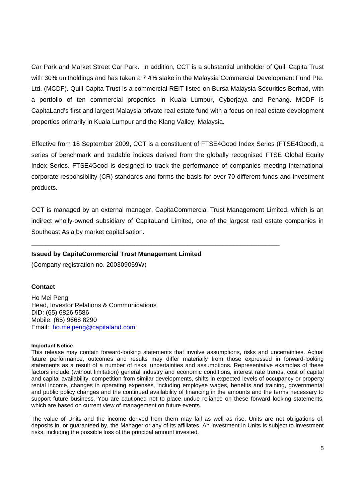Car Park and Market Street Car Park. In addition, CCT is a substantial unitholder of Quill Capita Trust with 30% unitholdings and has taken a 7.4% stake in the Malaysia Commercial Development Fund Pte. Ltd. (MCDF). Quill Capita Trust is a commercial REIT listed on Bursa Malaysia Securities Berhad, with a portfolio of ten commercial properties in Kuala Lumpur, Cyberjaya and Penang. MCDF is CapitaLand's first and largest Malaysia private real estate fund with a focus on real estate development properties primarily in Kuala Lumpur and the Klang Valley, Malaysia.

Effective from 18 September 2009, CCT is a constituent of FTSE4Good Index Series (FTSE4Good), a series of benchmark and tradable indices derived from the globally recognised FTSE Global Equity Index Series. FTSE4Good is designed to track the performance of companies meeting international corporate responsibility (CR) standards and forms the basis for over 70 different funds and investment products.

CCT is managed by an external manager, CapitaCommercial Trust Management Limited, which is an indirect wholly-owned subsidiary of CapitaLand Limited, one of the largest real estate companies in Southeast Asia by market capitalisation.

**\_\_\_\_\_\_\_\_\_\_\_\_\_\_\_\_\_\_\_\_\_\_\_\_\_\_\_\_\_\_\_\_\_\_\_\_\_\_\_\_\_\_\_\_\_\_\_\_\_\_\_\_\_\_\_\_\_\_\_\_\_\_\_\_\_\_\_\_\_\_** 

# **Issued by CapitaCommercial Trust Management Limited**

(Company registration no. 200309059W)

# **Contact**

Ho Mei Peng Head, Investor Relations & Communications DID: (65) 6826 5586 Mobile: (65) 9668 8290 Email: ho.meipeng@capitaland.com

#### **Important Notice**

This release may contain forward-looking statements that involve assumptions, risks and uncertainties. Actual future performance, outcomes and results may differ materially from those expressed in forward-looking statements as a result of a number of risks, uncertainties and assumptions. Representative examples of these factors include (without limitation) general industry and economic conditions, interest rate trends, cost of capital and capital availability, competition from similar developments, shifts in expected levels of occupancy or property rental income, changes in operating expenses, including employee wages, benefits and training, governmental and public policy changes and the continued availability of financing in the amounts and the terms necessary to support future business. You are cautioned not to place undue reliance on these forward looking statements, which are based on current view of management on future events.

The value of Units and the income derived from them may fall as well as rise. Units are not obligations of, deposits in, or guaranteed by, the Manager or any of its affiliates. An investment in Units is subject to investment risks, including the possible loss of the principal amount invested.